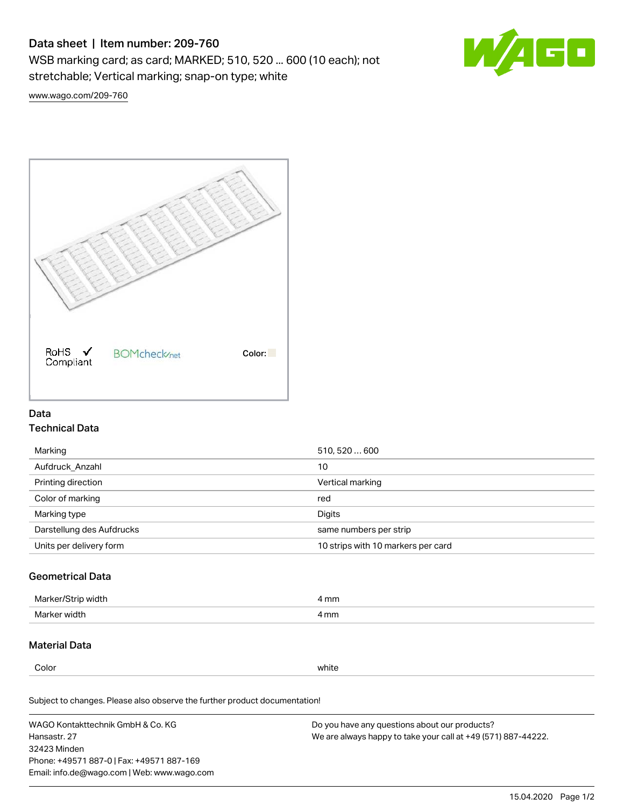# Data sheet | Item number: 209-760

WSB marking card; as card; MARKED; 510, 520 ... 600 (10 each); not stretchable; Vertical marking; snap-on type; white



[www.wago.com/209-760](http://www.wago.com/209-760)



## Data Technical Data

| Marking                   | 510, 520  600                      |
|---------------------------|------------------------------------|
| Aufdruck Anzahl           | 10                                 |
| Printing direction        | Vertical marking                   |
| Color of marking          | red                                |
| Marking type              | Digits                             |
| Darstellung des Aufdrucks | same numbers per strip             |
| Units per delivery form   | 10 strips with 10 markers per card |

## Geometrical Data

| Marker<br>∘width. | l mm |
|-------------------|------|
| Marker width      | 4 mm |

### Material Data

Color white

Subject to changes. Please also observe the further product documentation!

WAGO Kontakttechnik GmbH & Co. KG Hansastr. 27 32423 Minden Phone: +49571 887-0 | Fax: +49571 887-169 Email: info.de@wago.com | Web: www.wago.com Do you have any questions about our products? We are always happy to take your call at +49 (571) 887-44222.